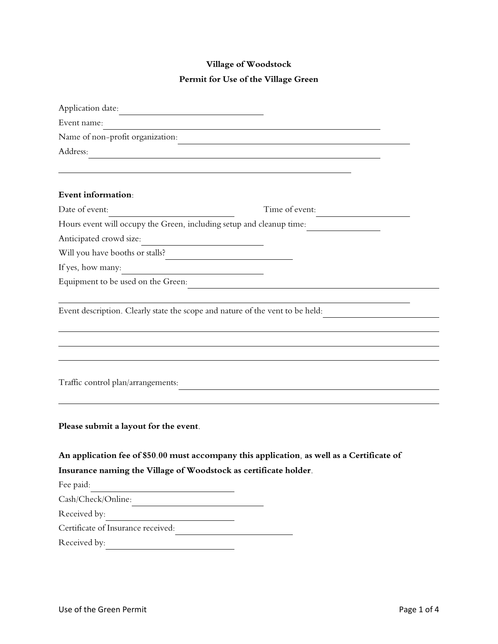## **Village of Woodstock**

## **Permit for Use of the Village Green**

| Application date:                                                             |                                                                                            |
|-------------------------------------------------------------------------------|--------------------------------------------------------------------------------------------|
| Event name:                                                                   |                                                                                            |
| Name of non-profit organization:                                              |                                                                                            |
| Address:                                                                      |                                                                                            |
|                                                                               |                                                                                            |
|                                                                               |                                                                                            |
| Event information:                                                            |                                                                                            |
| Date of event:                                                                | Time of event:                                                                             |
| Hours event will occupy the Green, including setup and cleanup time:          |                                                                                            |
| Anticipated crowd size:<br><u> 1989 - Johann Barbara, martxa alemaniar a</u>  |                                                                                            |
| Will you have booths or stalls?                                               |                                                                                            |
| If yes, how many:<br><u> 1980 - Andrea Maria Alemania (h. 19</u>              |                                                                                            |
| Equipment to be used on the Green:                                            |                                                                                            |
| Event description. Clearly state the scope and nature of the vent to be held: |                                                                                            |
| Traffic control plan/arrangements:                                            |                                                                                            |
| Please submit a layout for the event.                                         |                                                                                            |
|                                                                               | An application fee of \$50.00 must accompany this application, as well as a Certificate of |
| Insurance naming the Village of Woodstock as certificate holder.              |                                                                                            |
| Fee paid:                                                                     |                                                                                            |
| Cash/Check/Online:                                                            |                                                                                            |
| Received by:                                                                  |                                                                                            |
| Certificate of Insurance received:                                            |                                                                                            |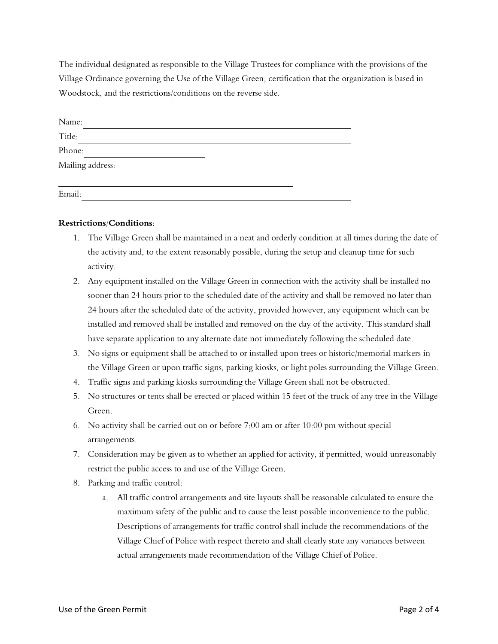The individual designated as responsible to the Village Trustees for compliance with the provisions of the Village Ordinance governing the Use of the Village Green, certification that the organization is based in Woodstock, and the restrictions/conditions on the reverse side.

| Name:            |  |
|------------------|--|
| Title:           |  |
| Phone:           |  |
| Mailing address: |  |
|                  |  |
| Email:           |  |

## **Restrictions/Conditions:**

- 1. The Village Green shall be maintained in a neat and orderly condition at all times during the date of the activity and, to the extent reasonably possible, during the setup and cleanup time for such activity.
- 2. Any equipment installed on the Village Green in connection with the activity shall be installed no sooner than 24 hours prior to the scheduled date of the activity and shall be removed no later than 24 hours after the scheduled date of the activity, provided however, any equipment which can be installed and removed shall be installed and removed on the day of the activity. This standard shall have separate application to any alternate date not immediately following the scheduled date.
- 3. No signs or equipment shall be attached to or installed upon trees or historic/memorial markers in the Village Green or upon traffic signs, parking kiosks, or light poles surrounding the Village Green.
- 4. Traffic signs and parking kiosks surrounding the Village Green shall not be obstructed.
- 5. No structures or tents shall be erected or placed within 15 feet of the truck of any tree in the Village Green.
- 6. No activity shall be carried out on or before 7:00 am or after 10:00 pm without special arrangements.
- 7. Consideration may be given as to whether an applied for activity, if permitted, would unreasonably restrict the public access to and use of the Village Green.
- 8. Parking and traffic control:
	- a. All traffic control arrangements and site layouts shall be reasonable calculated to ensure the maximum safety of the public and to cause the least possible inconvenience to the public. Descriptions of arrangements for traffic control shall include the recommendations of the Village Chief of Police with respect thereto and shall clearly state any variances between actual arrangements made recommendation of the Village Chief of Police.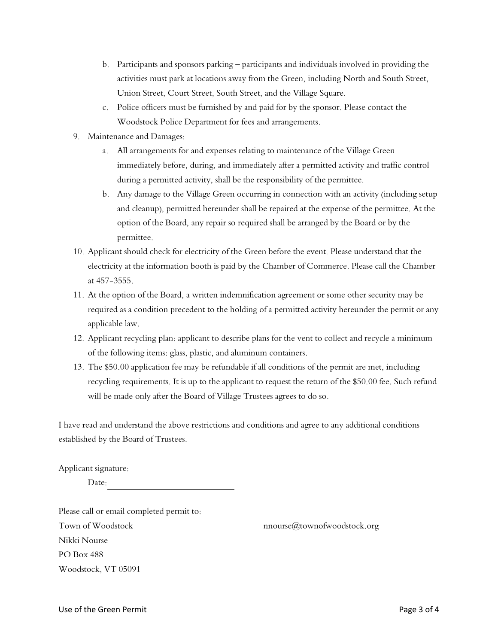- b. Participants and sponsors parking participants and individuals involved in providing the activities must park at locations away from the Green, including North and South Street, Union Street, Court Street, South Street, and the Village Square.
- c. Police officers must be furnished by and paid for by the sponsor. Please contact the Woodstock Police Department for fees and arrangements.
- 9. Maintenance and Damages:
	- a. All arrangements for and expenses relating to maintenance of the Village Green immediately before, during, and immediately after a permitted activity and traffic control during a permitted activity, shall be the responsibility of the permittee.
	- b. Any damage to the Village Green occurring in connection with an activity (including setup and cleanup), permitted hereunder shall be repaired at the expense of the permittee. At the option of the Board, any repair so required shall be arranged by the Board or by the permittee.
- 10. Applicant should check for electricity of the Green before the event. Please understand that the electricity at the information booth is paid by the Chamber of Commerce. Please call the Chamber at 457-3555.
- 11. At the option of the Board, a written indemnification agreement or some other security may be required as a condition precedent to the holding of a permitted activity hereunder the permit or any applicable law.
- 12. Applicant recycling plan: applicant to describe plans for the vent to collect and recycle a minimum of the following items: glass, plastic, and aluminum containers.
- 13. The \$50.00 application fee may be refundable if all conditions of the permit are met, including recycling requirements. It is up to the applicant to request the return of the \$50.00 fee. Such refund will be made only after the Board of Village Trustees agrees to do so.

I have read and understand the above restrictions and conditions and agree to any additional conditions established by the Board of Trustees.

Applicant signature:

Date:

Please call or email completed permit to: Town of Woodstock **now are allown** nnourse@townofwoodstock.org Nikki Nourse PO Box 488 Woodstock, VT 05091